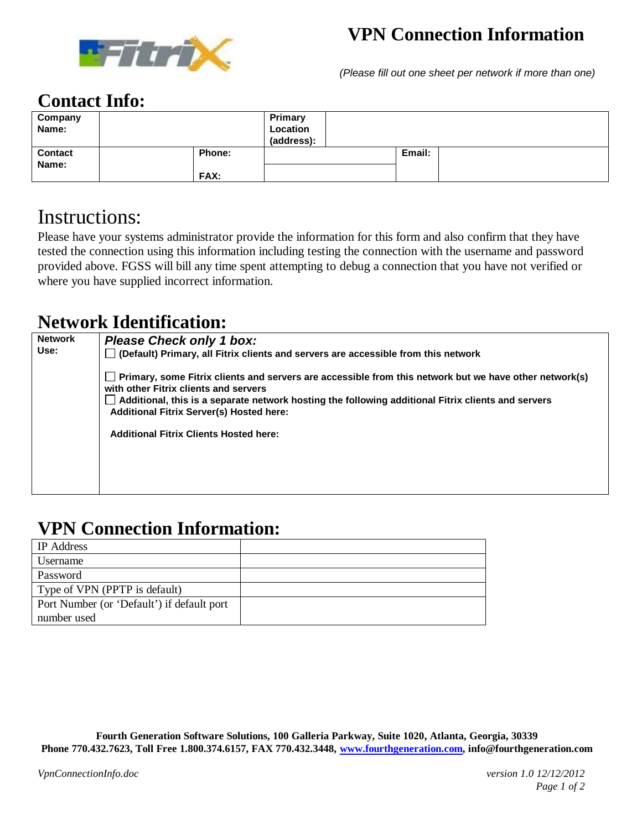

# **VPN Connection Information**

*(Please fill out one sheet per network if more than one)*

#### **Contact Info:**

| Company<br>Name:        |                       | Primary<br>Location<br>(address): |        |  |
|-------------------------|-----------------------|-----------------------------------|--------|--|
| <b>Contact</b><br>Name: | Phone:<br><b>FAX:</b> |                                   | Email: |  |

## Instructions:

Please have your systems administrator provide the information for this form and also confirm that they have tested the connection using this information including testing the connection with the username and password provided above. FGSS will bill any time spent attempting to debug a connection that you have not verified or where you have supplied incorrect information.

#### **Network Identification:**

| <b>Network</b><br>Use: | <b>Please Check only 1 box:</b><br>$\Box$ (Default) Primary, all Fitrix clients and servers are accessible from this network |  |  |  |
|------------------------|------------------------------------------------------------------------------------------------------------------------------|--|--|--|
|                        | with other Fitrix clients and servers<br><b>Additional Fitrix Server(s) Hosted here:</b>                                     |  |  |  |
|                        | <b>Additional Fitrix Clients Hosted here:</b>                                                                                |  |  |  |
|                        |                                                                                                                              |  |  |  |

## **VPN Connection Information:**

| IP Address                                 |  |
|--------------------------------------------|--|
| Username                                   |  |
| Password                                   |  |
| Type of VPN (PPTP is default)              |  |
| Port Number (or 'Default') if default port |  |
| number used                                |  |

**Fourth Generation Software Solutions, 100 Galleria Parkway, Suite 1020, Atlanta, Georgia, 30339 Phone 770.432.7623, Toll Free 1.800.374.6157, FAX 770.432.3448, www.fourthgeneration.com, info@fourthgeneration.com**